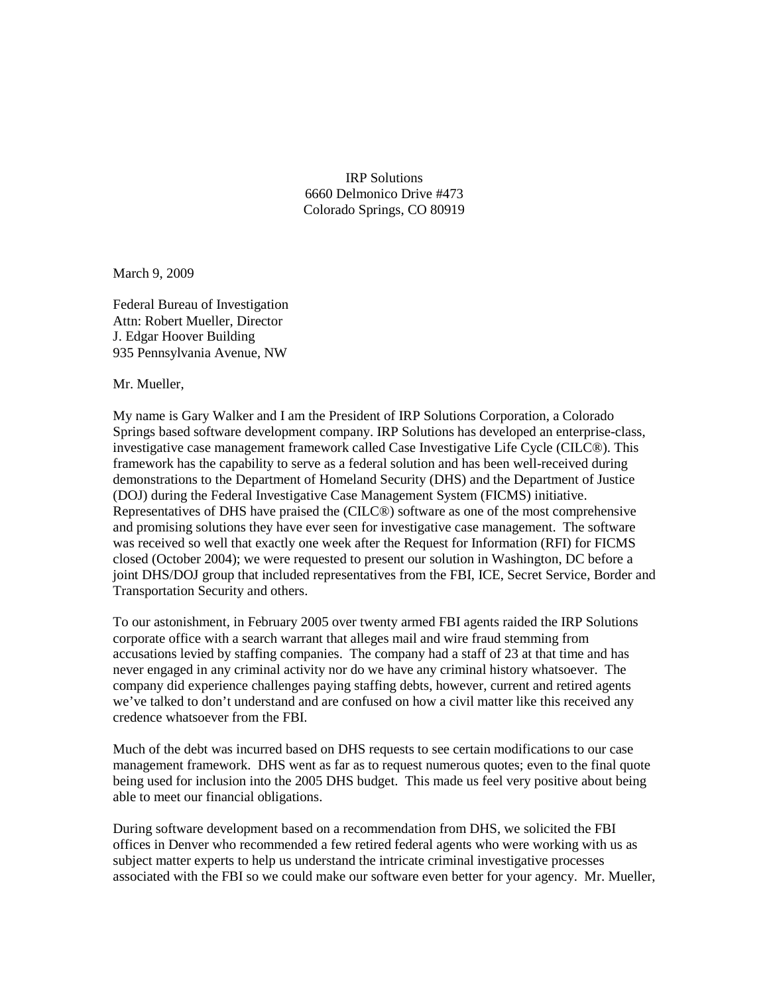IRP Solutions 6660 Delmonico Drive #473 Colorado Springs, CO 80919

March 9, 2009

Federal Bureau of Investigation Attn: Robert Mueller, Director J. Edgar Hoover Building 935 Pennsylvania Avenue, NW

Mr. Mueller,

My name is Gary Walker and I am the President of IRP Solutions Corporation, a Colorado Springs based software development company. IRP Solutions has developed an enterprise-class, investigative case management framework called Case Investigative Life Cycle (CILC®). This framework has the capability to serve as a federal solution and has been well-received during demonstrations to the Department of Homeland Security (DHS) and the Department of Justice (DOJ) during the Federal Investigative Case Management System (FICMS) initiative. Representatives of DHS have praised the (CILC®) software as one of the most comprehensive and promising solutions they have ever seen for investigative case management. The software was received so well that exactly one week after the Request for Information (RFI) for FICMS closed (October 2004); we were requested to present our solution in Washington, DC before a joint DHS/DOJ group that included representatives from the FBI, ICE, Secret Service, Border and Transportation Security and others.

To our astonishment, in February 2005 over twenty armed FBI agents raided the IRP Solutions corporate office with a search warrant that alleges mail and wire fraud stemming from accusations levied by staffing companies. The company had a staff of 23 at that time and has never engaged in any criminal activity nor do we have any criminal history whatsoever. The company did experience challenges paying staffing debts, however, current and retired agents we've talked to don't understand and are confused on how a civil matter like this received any credence whatsoever from the FBI.

Much of the debt was incurred based on DHS requests to see certain modifications to our case management framework. DHS went as far as to request numerous quotes; even to the final quote being used for inclusion into the 2005 DHS budget. This made us feel very positive about being able to meet our financial obligations.

During software development based on a recommendation from DHS, we solicited the FBI offices in Denver who recommended a few retired federal agents who were working with us as subject matter experts to help us understand the intricate criminal investigative processes associated with the FBI so we could make our software even better for your agency. Mr. Mueller,